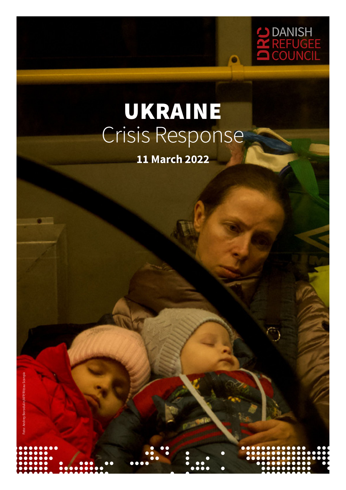

# UKRAINE Crisis Response

**11 March 2022**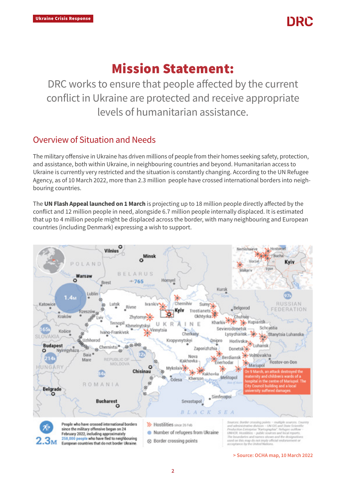

## Mission Statement:

DRC works to ensure that people affected by the current conflict in Ukraine are protected and receive appropriate levels of humanitarian assistance.

## Overview of Situation and Needs

The military offensive in Ukraine has driven millions of people from their homes seeking safety, protection, and assistance, both within Ukraine, in neighbouring countries and beyond. Humanitarian access to Ukraine is currently very restricted and the situation is constantly changing. According to the UN Refugee Agency, as of 10 March 2022, more than 2.3 million people have crossed international borders into neighbouring countries.

The UN Flash Appeal launched on 1 March is projecting up to 18 million people directly affected by the conflict and 12 million people in need, alongside 6.7 million people internally displaced. It is estimated that up to 4 million people might be displaced across the border, with many neighbouring and European countries (including Denmark) expressing a wish to support.



> Source: OCHA map, 10 March 2022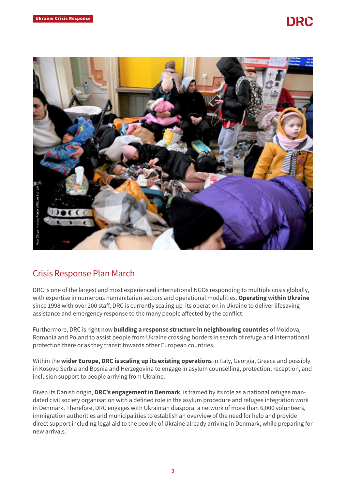## DRC



## Crisis Response Plan March

DRC is one of the largest and most experienced international NGOs responding to multiple crisis globally, with expertise in numerous humanitarian sectors and operational modalities. Operating within Ukraine since 1998 with over 200 staff, DRC is currently scaling up its operation in Ukraine to deliver lifesaving assistance and emergency response to the many people affected by the conflict.

Furthermore, DRC is right now **building a response structure in neighbouring countries** of Moldova, Romania and Poland to assist people from Ukraine crossing borders in search of refuge and international protection there or as they transit towards other European countries.

Within the wider Europe, DRC is scaling up its existing operations in Italy, Georgia, Greece and possibly in Kosovo Serbia and Bosnia and Herzegovina to engage in asylum counselling, protection, reception, and inclusion support to people arriving from Ukraine.

Given its Danish origin, DRC's engagement in Denmark, is framed by its role as a national refugee mandated civil society organisation with a defined role in the asylum procedure and refugee integration work in Denmark. Therefore, DRC engages with Ukrainian diaspora, a network of more than 6,000 volunteers, immigration authorities and municipalities to establish an overview of the need for help and provide direct support including legal aid to the people of Ukraine already arriving in Denmark, while preparing for new arrivals.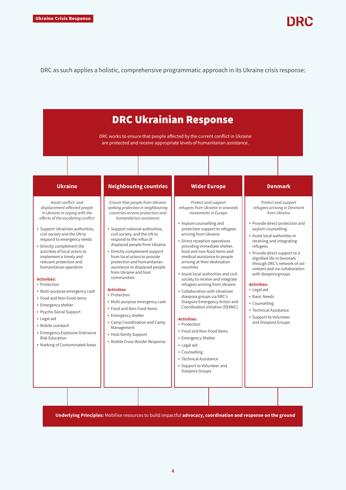#### DRC as such applies a holistic, comprehensive programmatic approach in its Ukraine crisis response:

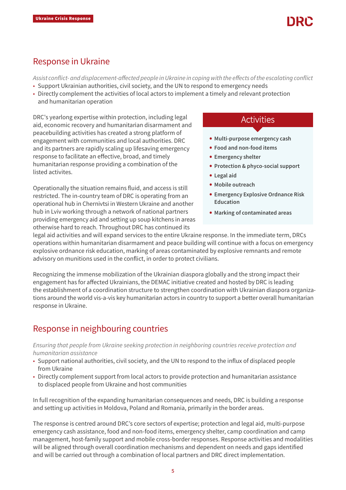## Response in Ukraine

*Assist conflict- and displacement-affected people in Ukraine in coping with the effects of the escalating conflict*

- Support Ukrainian authorities, civil society, and the UN to respond to emergency needs
- Directly complement the activities of local actors to implement a timely and relevant protection and humanitarian operation

DRC's yearlong expertise within protection, including legal aid, economic recovery and humanitarian disarmament and peacebuilding activities has created a strong platform of engagement with communities and local authorities. DRC and its partners are rapidly scaling up lifesaving emergency response to facilitate an effective, broad, and timely humanitarian response providing a combination of the listed activites.

Operationally the situation remains fluid, and access is still restricted. The in-country team of DRC is operating from an operational hub in Chernivtsi in Western Ukraine and another hub in Lviv working through a network of national partners providing emergency aid and setting up soup kitchens in areas otherwise hard to reach. Throughout DRC has continued its

## Activities

- Multi-purpose emergency cash
- Food and non-food items
- Emergency shelter
- Protection & phyco-social support
- Legal aid
- Mobile outreach
- Emergency Explosive Ordnance Risk Education
- Marking of contaminated areas

legal aid activities and will expand services to the entire Ukraine response. In the immediate term, DRCs operations within humanitarian disarmament and peace building will continue with a focus on emergency explosive ordnance risk education, marking of areas contaminated by explosive remnants and remote advisory on munitions used in the conflict, in order to protect civilians.

Recognizing the immense mobilization of the Ukrainian diaspora globally and the strong impact their engagement has for affected Ukrainians, the DEMAC initiative created and hosted by DRC is leading the establishment of a coordination structure to strengthen coordination with Ukrainian diaspora organizations around the world vis-a-vis key humanitarian actors in country to support a better overall humanitarian response in Ukraine.

## Response in neighbouring countries

*Ensuring that people from Ukraine seeking protection in neighboring countries receive protection and humanitarian assistance*

- Support national authorities, civil society, and the UN to respond to the influx of displaced people from Ukraine
- Directly complement support from local actors to provide protection and humanitarian assistance to displaced people from Ukraine and host communities

In full recognition of the expanding humanitarian consequences and needs, DRC is building a response and setting up activities in Moldova, Poland and Romania, primarily in the border areas.

The response is centred around DRC's core sectors of expertise; protection and legal aid, multi-purpose emergency cash assistance, food and non-food items, emergency shelter, camp coordination and camp management, host-family support and mobile cross-border responses. Response activities and modalities will be aligned through overall coordination mechanisms and dependent on needs and gaps identified and will be carried out through a combination of local partners and DRC direct implementation.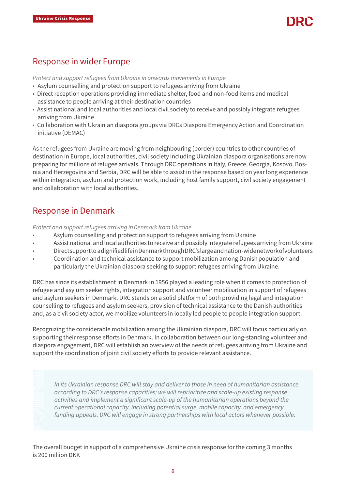## Response in wider Europe

*Protect and support refugees from Ukraine in onwards movements in Europe* 

- Asylum counselling and protection support to refugees arriving from Ukraine
- Direct reception operations providing immediate shelter, food and non-food items and medical assistance to people arriving at their destination countries
- Assist national and local authorities and local civil society to receive and possibly integrate refugees arriving from Ukraine
- Collaboration with Ukrainian diaspora groups via DRCs Diaspora Emergency Action and Coordination initiative (DEMAC)

As the refugees from Ukraine are moving from neighbouring (border) countries to other countries of destination in Europe, local authorities, civil society including Ukrainian diaspora organisations are now preparing for millions of refugee arrivals. Through DRC operations in Italy, Greece, Georgia, Kosovo, Bosnia and Herzegovina and Serbia, DRC will be able to assist in the response based on year long experience within integration, asylum and protection work, including host family support, civil society engagement and collaboration with local authorities.

## Response in Denmark

*Protect and support refugees arriving in Denmark from Ukraine* 

- Asylum counselling and protection support to refugees arriving from Ukraine
- Assist national and local authorities to receive and possibly integrate refugees arriving from Ukraine
- Direct support to a dignified life in Denmark through DRC's large and nation-wide network of volunteers
- Coordination and technical assistance to support mobilization among Danish population and particularly the Ukrainian diaspora seeking to support refugees arriving from Ukraine.

DRC has since its establishment in Denmark in 1956 played a leading role when it comes to protection of refugee and asylum seeker rights, integration support and volunteer mobilisation in support of refugees and asylum seekers in Denmark. DRC stands on a solid platform of both providing legal and integration counselling to refugees and asylum seekers, provision of technical assistance to the Danish authorities and, as a civil society actor, we mobilize volunteers in locally led people to people integration support.

Recognizing the considerable mobilization among the Ukrainian diaspora, DRC will focus particularly on supporting their response efforts in Denmark. In collaboration between our long-standing volunteer and diaspora engagement, DRC will establish an overview of the needs of refugees arriving from Ukraine and support the coordination of joint civil society efforts to provide relevant assistance.

*In its Ukrainian response DRC will stay and deliver to those in need of humanitarian assistance according to DRC's response capacities; we will reprioritize and scale-up existing response activities and implement a significant scale-up of the humanitarian operations beyond the current operational capacity, including potential surge, mobile capacity, and emergency funding appeals. DRC will engage in strong partnerships with local actors whenever possible.*

The overall budget in support of a comprehensive Ukraine crisis response for the coming 3 months is 200 million DKK